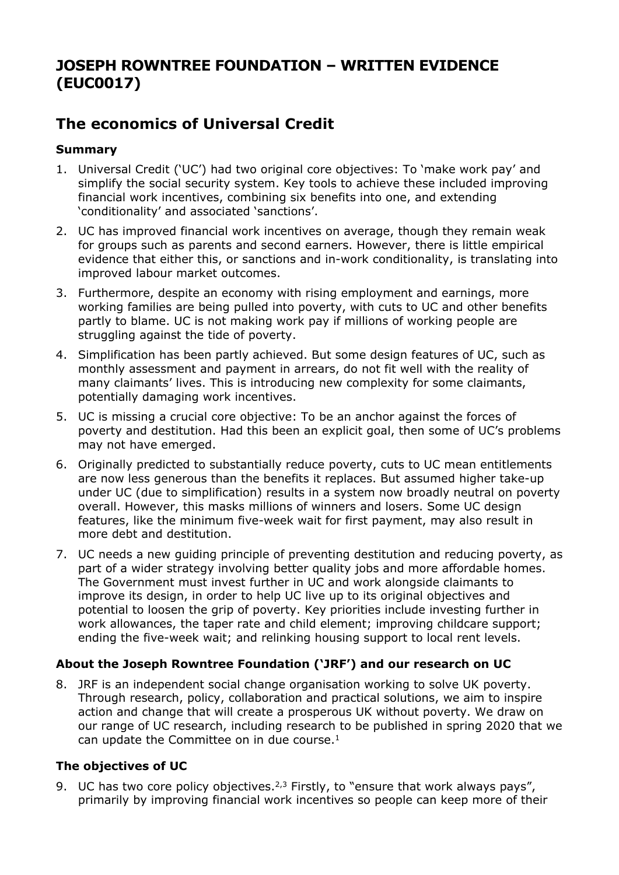## **JOSEPH ROWNTREE FOUNDATION – WRITTEN EVIDENCE (EUC0017)**

# **The economics of Universal Credit**

## **Summary**

- 1. Universal Credit ('UC') had two original core objectives: To 'make work pay' and simplify the social security system. Key tools to achieve these included improving financial work incentives, combining six benefits into one, and extending 'conditionality' and associated 'sanctions'.
- 2. UC has improved financial work incentives on average, though they remain weak for groups such as parents and second earners. However, there is little empirical evidence that either this, or sanctions and in-work conditionality, is translating into improved labour market outcomes.
- 3. Furthermore, despite an economy with rising employment and earnings, more working families are being pulled into poverty, with cuts to UC and other benefits partly to blame. UC is not making work pay if millions of working people are struggling against the tide of poverty.
- 4. Simplification has been partly achieved. But some design features of UC, such as monthly assessment and payment in arrears, do not fit well with the reality of many claimants' lives. This is introducing new complexity for some claimants, potentially damaging work incentives.
- 5. UC is missing a crucial core objective: To be an anchor against the forces of poverty and destitution. Had this been an explicit goal, then some of UC's problems may not have emerged.
- 6. Originally predicted to substantially reduce poverty, cuts to UC mean entitlements are now less generous than the benefits it replaces. But assumed higher take-up under UC (due to simplification) results in a system now broadly neutral on poverty overall. However, this masks millions of winners and losers. Some UC design features, like the minimum five-week wait for first payment, may also result in more debt and destitution.
- 7. UC needs a new guiding principle of preventing destitution and reducing poverty, as part of a wider strategy involving better quality jobs and more affordable homes. The Government must invest further in UC and work alongside claimants to improve its design, in order to help UC live up to its original objectives and potential to loosen the grip of poverty. Key priorities include investing further in work allowances, the taper rate and child element; improving childcare support; ending the five-week wait; and relinking housing support to local rent levels.

## **About the Joseph Rowntree Foundation ('JRF') and our research on UC**

8. JRF is an independent social change organisation working to solve UK poverty. Through research, policy, collaboration and practical solutions, we aim to inspire action and change that will create a prosperous UK without poverty. We draw on our range of UC research, including research to be published in spring 2020 that we can update the Committee on in due course.<sup>1</sup>

## **The objectives of UC**

9. UC has two core policy objectives.<sup>2,3</sup> Firstly, to "ensure that work always pays", primarily by improving financial work incentives so people can keep more of their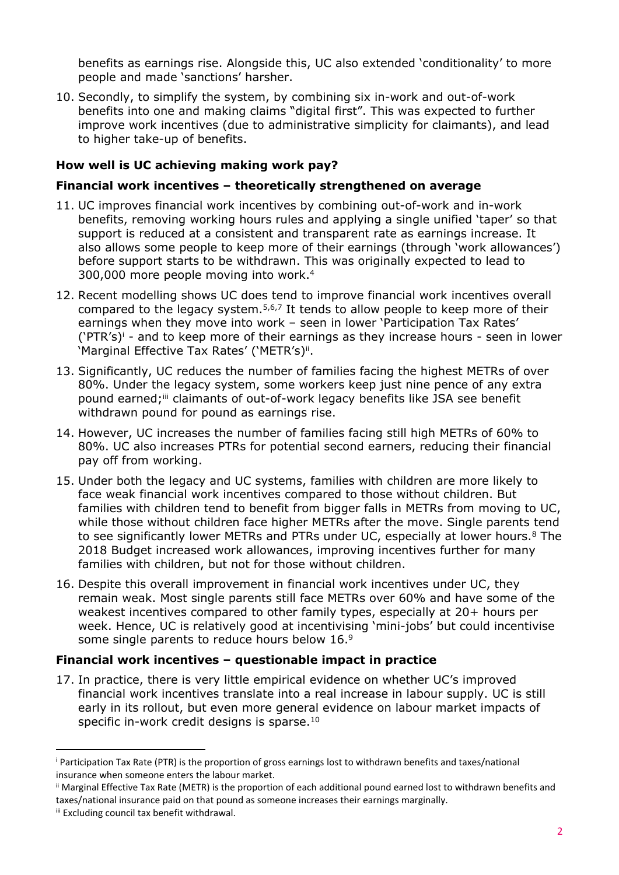benefits as earnings rise. Alongside this, UC also extended 'conditionality' to more people and made 'sanctions' harsher.

10. Secondly, to simplify the system, by combining six in-work and out-of-work benefits into one and making claims "digital first". This was expected to further improve work incentives (due to administrative simplicity for claimants), and lead to higher take-up of benefits.

#### **How well is UC achieving making work pay?**

#### **Financial work incentives – theoretically strengthened on average**

- 11. UC improves financial work incentives by combining out-of-work and in-work benefits, removing working hours rules and applying a single unified 'taper' so that support is reduced at a consistent and transparent rate as earnings increase. It also allows some people to keep more of their earnings (through 'work allowances') before support starts to be withdrawn. This was originally expected to lead to 300,000 more people moving into work.<sup>4</sup>
- 12. Recent modelling shows UC does tend to improve financial work incentives overall compared to the legacy system.<sup>5,6,7</sup> It tends to allow people to keep more of their earnings when they move into work – seen in lower 'Participation Tax Rates'  $('PTR's)' -$  and to keep more of their earnings as they increase hours - seen in lower 'Marginal Effective Tax Rates' ('METR's)ii.
- 13. Significantly, UC reduces the number of families facing the highest METRs of over 80%. Under the legacy system, some workers keep just nine pence of any extra pound earned;<sup>iii</sup> claimants of out-of-work legacy benefits like JSA see benefit withdrawn pound for pound as earnings rise.
- 14. However, UC increases the number of families facing still high METRs of 60% to 80%. UC also increases PTRs for potential second earners, reducing their financial pay off from working.
- 15. Under both the legacy and UC systems, families with children are more likely to face weak financial work incentives compared to those without children. But families with children tend to benefit from bigger falls in METRs from moving to UC, while those without children face higher METRs after the move. Single parents tend to see significantly lower METRs and PTRs under UC, especially at lower hours.<sup>8</sup> The 2018 Budget increased work allowances, improving incentives further for many families with children, but not for those without children.
- 16. Despite this overall improvement in financial work incentives under UC, they remain weak. Most single parents still face METRs over 60% and have some of the weakest incentives compared to other family types, especially at 20+ hours per week. Hence, UC is relatively good at incentivising 'mini-jobs' but could incentivise some single parents to reduce hours below 16.<sup>9</sup>

## **Financial work incentives – questionable impact in practice**

17. In practice, there is very little empirical evidence on whether UC's improved financial work incentives translate into a real increase in labour supply. UC is still early in its rollout, but even more general evidence on labour market impacts of specific in-work credit designs is sparse.<sup>10</sup>

<sup>i</sup> Participation Tax Rate (PTR) is the proportion of gross earnings lost to withdrawn benefits and taxes/national insurance when someone enters the labour market.

ii Marginal Effective Tax Rate (METR) is the proportion of each additional pound earned lost to withdrawn benefits and taxes/national insurance paid on that pound as someone increases their earnings marginally.

iii Excluding council tax benefit withdrawal.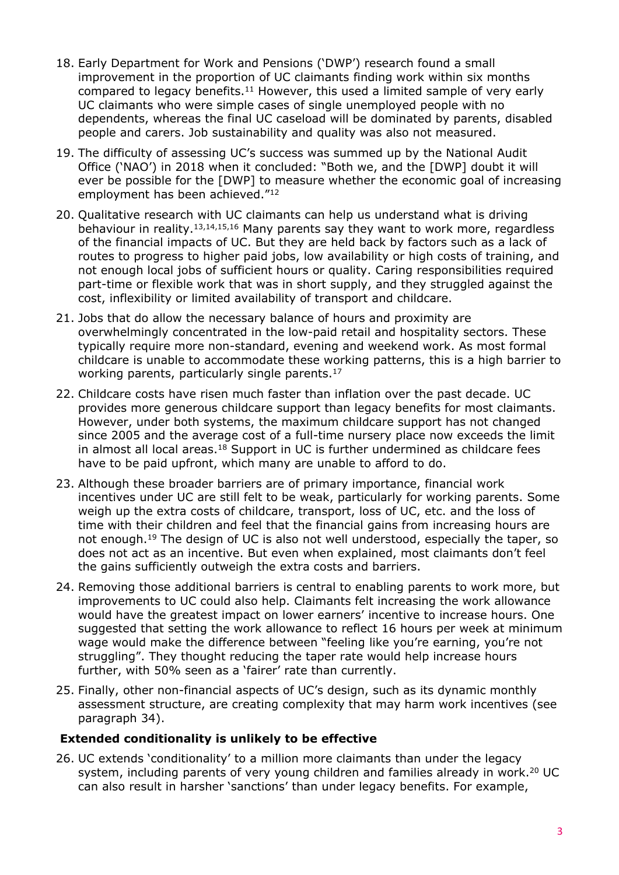- 18. Early Department for Work and Pensions ('DWP') research found a small improvement in the proportion of UC claimants finding work within six months compared to legacy benefits.<sup>11</sup> However, this used a limited sample of very early UC claimants who were simple cases of single unemployed people with no dependents, whereas the final UC caseload will be dominated by parents, disabled people and carers. Job sustainability and quality was also not measured.
- 19. The difficulty of assessing UC's success was summed up by the National Audit Office ('NAO') in 2018 when it concluded: "Both we, and the [DWP] doubt it will ever be possible for the [DWP] to measure whether the economic goal of increasing employment has been achieved."<sup>12</sup>
- 20. Qualitative research with UC claimants can help us understand what is driving behaviour in reality.13,14,15,16 Many parents say they want to work more, regardless of the financial impacts of UC. But they are held back by factors such as a lack of routes to progress to higher paid jobs, low availability or high costs of training, and not enough local jobs of sufficient hours or quality. Caring responsibilities required part-time or flexible work that was in short supply, and they struggled against the cost, inflexibility or limited availability of transport and childcare.
- 21. Jobs that do allow the necessary balance of hours and proximity are overwhelmingly concentrated in the low-paid retail and hospitality sectors. These typically require more non-standard, evening and weekend work. As most formal childcare is unable to accommodate these working patterns, this is a high barrier to working parents, particularly single parents.<sup>17</sup>
- 22. Childcare costs have risen much faster than inflation over the past decade. UC provides more generous childcare support than legacy benefits for most claimants. However, under both systems, the maximum childcare support has not changed since 2005 and the average cost of a full-time nursery place now exceeds the limit in almost all local areas.<sup>18</sup> Support in UC is further undermined as childcare fees have to be paid upfront, which many are unable to afford to do.
- 23. Although these broader barriers are of primary importance, financial work incentives under UC are still felt to be weak, particularly for working parents. Some weigh up the extra costs of childcare, transport, loss of UC, etc. and the loss of time with their children and feel that the financial gains from increasing hours are not enough.<sup>19</sup> The design of UC is also not well understood, especially the taper, so does not act as an incentive. But even when explained, most claimants don't feel the gains sufficiently outweigh the extra costs and barriers.
- 24. Removing those additional barriers is central to enabling parents to work more, but improvements to UC could also help. Claimants felt increasing the work allowance would have the greatest impact on lower earners' incentive to increase hours. One suggested that setting the work allowance to reflect 16 hours per week at minimum wage would make the difference between "feeling like you're earning, you're not struggling". They thought reducing the taper rate would help increase hours further, with 50% seen as a 'fairer' rate than currently.
- 25. Finally, other non-financial aspects of UC's design, such as its dynamic monthly assessment structure, are creating complexity that may harm work incentives (see paragraph 34).

#### **Extended conditionality is unlikely to be effective**

26. UC extends 'conditionality' to a million more claimants than under the legacy system, including parents of very young children and families already in work.<sup>20</sup> UC can also result in harsher 'sanctions' than under legacy benefits. For example,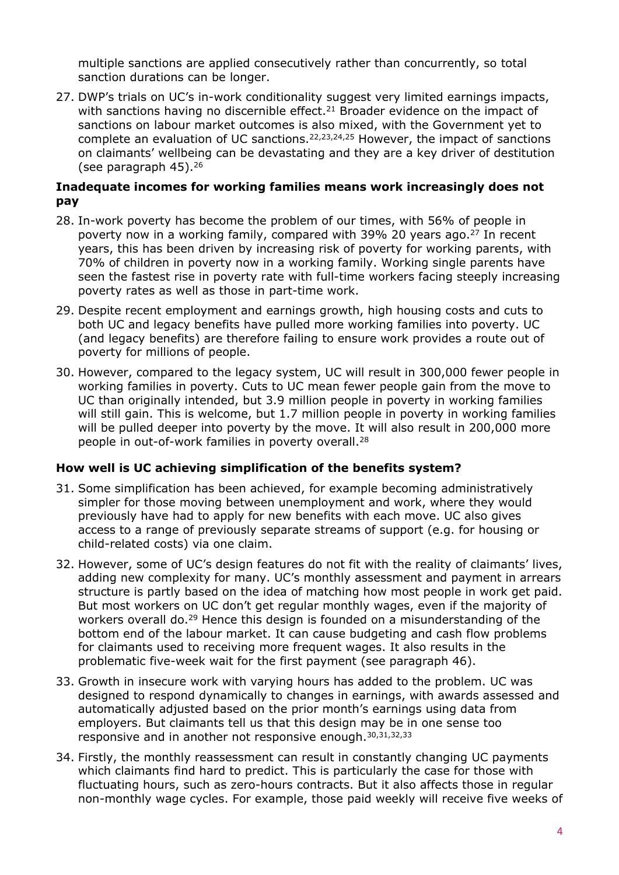multiple sanctions are applied consecutively rather than concurrently, so total sanction durations can be longer.

27. DWP's trials on UC's in-work conditionality suggest very limited earnings impacts, with sanctions having no discernible effect.<sup>21</sup> Broader evidence on the impact of sanctions on labour market outcomes is also mixed, with the Government yet to complete an evaluation of UC sanctions.22,23,24,25 However, the impact of sanctions on claimants' wellbeing can be devastating and they are a key driver of destitution (see paragraph 45).<sup>26</sup>

#### **Inadequate incomes for working families means work increasingly does not pay**

- 28. In-work poverty has become the problem of our times, with 56% of people in poverty now in a working family, compared with 39% 20 years ago.<sup>27</sup> In recent years, this has been driven by increasing risk of poverty for working parents, with 70% of children in poverty now in a working family. Working single parents have seen the fastest rise in poverty rate with full-time workers facing steeply increasing poverty rates as well as those in part-time work.
- 29. Despite recent employment and earnings growth, high housing costs and cuts to both UC and legacy benefits have pulled more working families into poverty. UC (and legacy benefits) are therefore failing to ensure work provides a route out of poverty for millions of people.
- 30. However, compared to the legacy system, UC will result in 300,000 fewer people in working families in poverty. Cuts to UC mean fewer people gain from the move to UC than originally intended, but 3.9 million people in poverty in working families will still gain. This is welcome, but 1.7 million people in poverty in working families will be pulled deeper into poverty by the move. It will also result in 200,000 more people in out-of-work families in poverty overall.<sup>28</sup>

#### **How well is UC achieving simplification of the benefits system?**

- 31. Some simplification has been achieved, for example becoming administratively simpler for those moving between unemployment and work, where they would previously have had to apply for new benefits with each move. UC also gives access to a range of previously separate streams of support (e.g. for housing or child-related costs) via one claim.
- 32. However, some of UC's design features do not fit with the reality of claimants' lives, adding new complexity for many. UC's monthly assessment and payment in arrears structure is partly based on the idea of matching how most people in work get paid. But most workers on UC don't get regular monthly wages, even if the majority of workers overall do.<sup>29</sup> Hence this design is founded on a misunderstanding of the bottom end of the labour market. It can cause budgeting and cash flow problems for claimants used to receiving more frequent wages. It also results in the problematic five-week wait for the first payment (see paragraph 46).
- 33. Growth in insecure work with varying hours has added to the problem. UC was designed to respond dynamically to changes in earnings, with awards assessed and automatically adjusted based on the prior month's earnings using data from employers. But claimants tell us that this design may be in one sense too responsive and in another not responsive enough.30,31,32,33
- 34. Firstly, the monthly reassessment can result in constantly changing UC payments which claimants find hard to predict. This is particularly the case for those with fluctuating hours, such as zero-hours contracts. But it also affects those in regular non-monthly wage cycles. For example, those paid weekly will receive five weeks of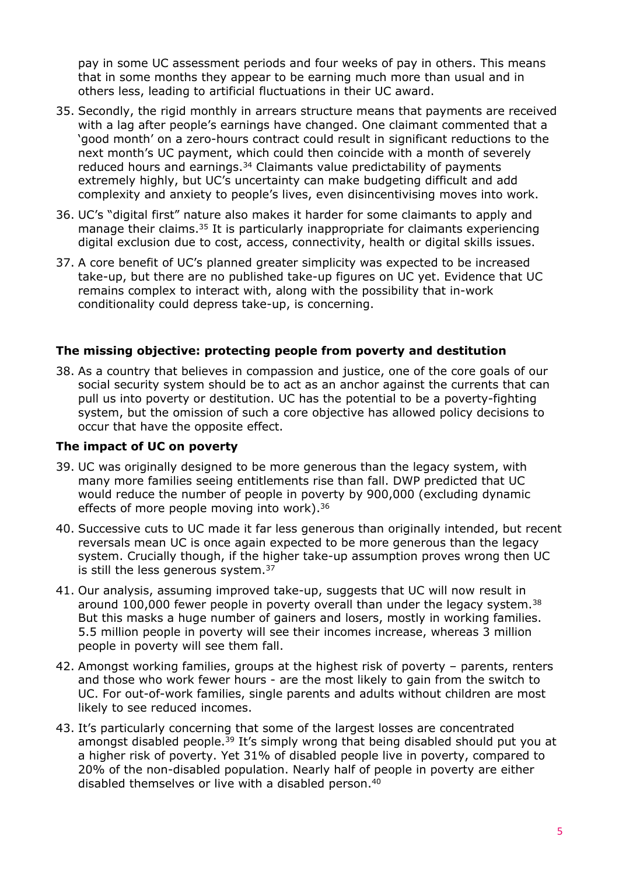pay in some UC assessment periods and four weeks of pay in others. This means that in some months they appear to be earning much more than usual and in others less, leading to artificial fluctuations in their UC award.

- 35. Secondly, the rigid monthly in arrears structure means that payments are received with a lag after people's earnings have changed. One claimant commented that a 'good month' on a zero-hours contract could result in significant reductions to the next month's UC payment, which could then coincide with a month of severely reduced hours and earnings.<sup>34</sup> Claimants value predictability of payments extremely highly, but UC's uncertainty can make budgeting difficult and add complexity and anxiety to people's lives, even disincentivising moves into work.
- 36. UC's "digital first" nature also makes it harder for some claimants to apply and manage their claims.<sup>35</sup> It is particularly inappropriate for claimants experiencing digital exclusion due to cost, access, connectivity, health or digital skills issues.
- 37. A core benefit of UC's planned greater simplicity was expected to be increased take-up, but there are no published take-up figures on UC yet. Evidence that UC remains complex to interact with, along with the possibility that in-work conditionality could depress take-up, is concerning.

#### **The missing objective: protecting people from poverty and destitution**

38. As a country that believes in compassion and justice, one of the core goals of our social security system should be to act as an anchor against the currents that can pull us into poverty or destitution. UC has the potential to be a poverty-fighting system, but the omission of such a core objective has allowed policy decisions to occur that have the opposite effect.

#### **The impact of UC on poverty**

- 39. UC was originally designed to be more generous than the legacy system, with many more families seeing entitlements rise than fall. DWP predicted that UC would reduce the number of people in poverty by 900,000 (excluding dynamic effects of more people moving into work).<sup>36</sup>
- 40. Successive cuts to UC made it far less generous than originally intended, but recent reversals mean UC is once again expected to be more generous than the legacy system. Crucially though, if the higher take-up assumption proves wrong then UC is still the less generous system.<sup>37</sup>
- 41. Our analysis, assuming improved take-up, suggests that UC will now result in around 100,000 fewer people in poverty overall than under the legacy system.<sup>38</sup> But this masks a huge number of gainers and losers, mostly in working families. 5.5 million people in poverty will see their incomes increase, whereas 3 million people in poverty will see them fall.
- 42. Amongst working families, groups at the highest risk of poverty parents, renters and those who work fewer hours - are the most likely to gain from the switch to UC. For out-of-work families, single parents and adults without children are most likely to see reduced incomes.
- 43. It's particularly concerning that some of the largest losses are concentrated amongst disabled people.<sup>39</sup> It's simply wrong that being disabled should put you at a higher risk of poverty. Yet 31% of disabled people live in poverty, compared to 20% of the non-disabled population. Nearly half of people in poverty are either disabled themselves or live with a disabled person.<sup>40</sup>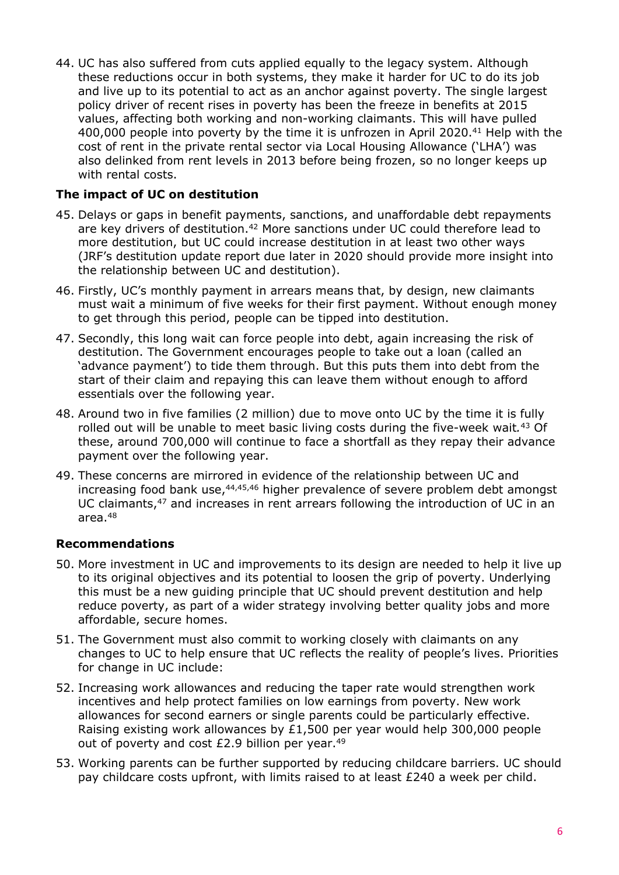44. UC has also suffered from cuts applied equally to the legacy system. Although these reductions occur in both systems, they make it harder for UC to do its job and live up to its potential to act as an anchor against poverty. The single largest policy driver of recent rises in poverty has been the freeze in benefits at 2015 values, affecting both working and non-working claimants. This will have pulled 400,000 people into poverty by the time it is unfrozen in April 2020.<sup>41</sup> Help with the cost of rent in the private rental sector via Local Housing Allowance ('LHA') was also delinked from rent levels in 2013 before being frozen, so no longer keeps up with rental costs.

#### **The impact of UC on destitution**

- 45. Delays or gaps in benefit payments, sanctions, and unaffordable debt repayments are key drivers of destitution.<sup>42</sup> More sanctions under UC could therefore lead to more destitution, but UC could increase destitution in at least two other ways (JRF's destitution update report due later in 2020 should provide more insight into the relationship between UC and destitution).
- 46. Firstly, UC's monthly payment in arrears means that, by design, new claimants must wait a minimum of five weeks for their first payment. Without enough money to get through this period, people can be tipped into destitution.
- 47. Secondly, this long wait can force people into debt, again increasing the risk of destitution. The Government encourages people to take out a loan (called an 'advance payment') to tide them through. But this puts them into debt from the start of their claim and repaying this can leave them without enough to afford essentials over the following year.
- 48. Around two in five families (2 million) due to move onto UC by the time it is fully rolled out will be unable to meet basic living costs during the five-week wait*.* <sup>43</sup> Of these, around 700,000 will continue to face a shortfall as they repay their advance payment over the following year.
- 49. These concerns are mirrored in evidence of the relationship between UC and increasing food bank use, <sup>44,45,46</sup> higher prevalence of severe problem debt amongst UC claimants,<sup>47</sup> and increases in rent arrears following the introduction of UC in an area.<sup>48</sup>

#### **Recommendations**

- 50. More investment in UC and improvements to its design are needed to help it live up to its original objectives and its potential to loosen the grip of poverty. Underlying this must be a new guiding principle that UC should prevent destitution and help reduce poverty, as part of a wider strategy involving better quality jobs and more affordable, secure homes.
- 51. The Government must also commit to working closely with claimants on any changes to UC to help ensure that UC reflects the reality of people's lives. Priorities for change in UC include:
- 52. Increasing work allowances and reducing the taper rate would strengthen work incentives and help protect families on low earnings from poverty. New work allowances for second earners or single parents could be particularly effective. Raising existing work allowances by £1,500 per year would help 300,000 people out of poverty and cost  $£2.9$  billion per year.<sup>49</sup>
- 53. Working parents can be further supported by reducing childcare barriers. UC should pay childcare costs upfront, with limits raised to at least £240 a week per child.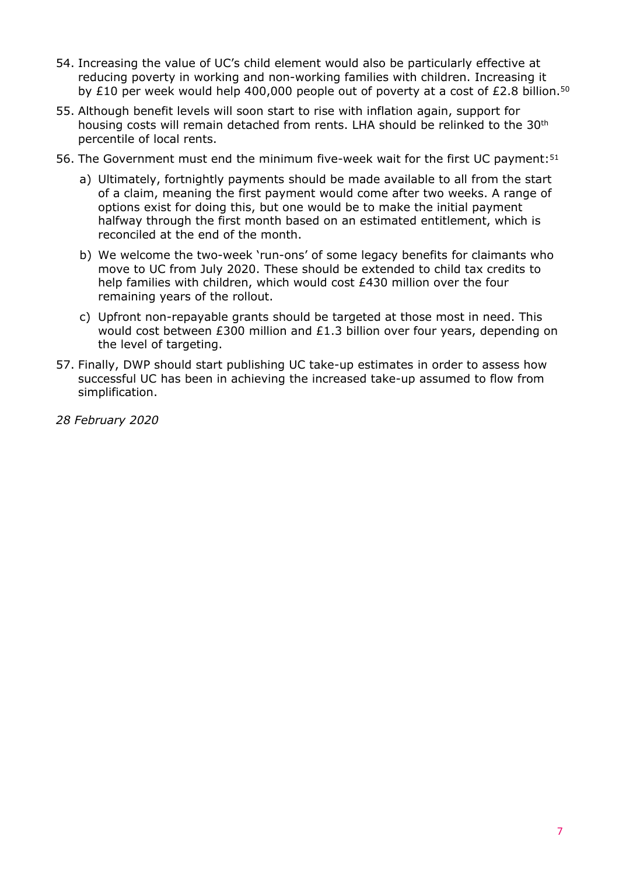- 54. Increasing the value of UC's child element would also be particularly effective at reducing poverty in working and non-working families with children. Increasing it by £10 per week would help 400,000 people out of poverty at a cost of £2.8 billion.<sup>50</sup>
- 55. Although benefit levels will soon start to rise with inflation again, support for housing costs will remain detached from rents. LHA should be relinked to the 30<sup>th</sup> percentile of local rents.
- 56. The Government must end the minimum five-week wait for the first UC payment:<sup>51</sup>
	- a) Ultimately, fortnightly payments should be made available to all from the start of a claim, meaning the first payment would come after two weeks. A range of options exist for doing this, but one would be to make the initial payment halfway through the first month based on an estimated entitlement, which is reconciled at the end of the month.
	- b) We welcome the two-week 'run-ons' of some legacy benefits for claimants who move to UC from July 2020. These should be extended to child tax credits to help families with children, which would cost £430 million over the four remaining years of the rollout.
	- c) Upfront non-repayable grants should be targeted at those most in need. This would cost between £300 million and £1.3 billion over four years, depending on the level of targeting.
- 57. Finally, DWP should start publishing UC take-up estimates in order to assess how successful UC has been in achieving the increased take-up assumed to flow from simplification.
- *28 February 2020*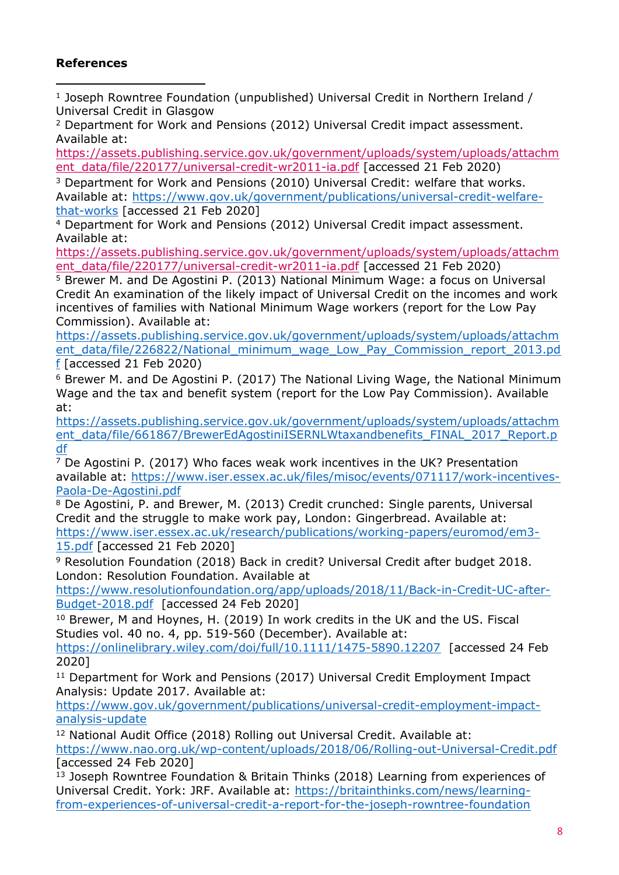## **References**

<sup>1</sup> Joseph Rowntree Foundation (unpublished) Universal Credit in Northern Ireland / Universal Credit in Glasgow

<sup>2</sup> Department for Work and Pensions (2012) Universal Credit impact assessment. Available at:

[https://assets.publishing.service.gov.uk/government/uploads/system/uploads/attachm](https://assets.publishing.service.gov.uk/government/uploads/system/uploads/attachment_data/file/220177/universal-credit-wr2011-ia.pdf) [ent\\_data/file/220177/universal-credit-wr2011-ia.pdf](https://assets.publishing.service.gov.uk/government/uploads/system/uploads/attachment_data/file/220177/universal-credit-wr2011-ia.pdf) [accessed 21 Feb 2020)

<sup>3</sup> Department for Work and Pensions (2010) Universal Credit: welfare that works. Available at: [https://www.gov.uk/government/publications/universal-credit-welfare](https://www.gov.uk/government/publications/universal-credit-welfare-that-works)[that-works](https://www.gov.uk/government/publications/universal-credit-welfare-that-works) [accessed 21 Feb 2020]

<sup>4</sup> Department for Work and Pensions (2012) Universal Credit impact assessment. Available at:

[https://assets.publishing.service.gov.uk/government/uploads/system/uploads/attachm](https://assets.publishing.service.gov.uk/government/uploads/system/uploads/attachment_data/file/220177/universal-credit-wr2011-ia.pdf) [ent\\_data/file/220177/universal-credit-wr2011-ia.pdf](https://assets.publishing.service.gov.uk/government/uploads/system/uploads/attachment_data/file/220177/universal-credit-wr2011-ia.pdf) [accessed 21 Feb 2020)

<sup>5</sup> Brewer M. and De Agostini P. (2013) National Minimum Wage: a focus on Universal Credit An examination of the likely impact of Universal Credit on the incomes and work incentives of families with National Minimum Wage workers (report for the Low Pay Commission). Available at:

[https://assets.publishing.service.gov.uk/government/uploads/system/uploads/attachm](https://assets.publishing.service.gov.uk/government/uploads/system/uploads/attachment_data/file/226822/National_minimum_wage_Low_Pay_Commission_report_2013.pdf) [ent\\_data/file/226822/National\\_minimum\\_wage\\_Low\\_Pay\\_Commission\\_report\\_2013.pd](https://assets.publishing.service.gov.uk/government/uploads/system/uploads/attachment_data/file/226822/National_minimum_wage_Low_Pay_Commission_report_2013.pdf) [f](https://assets.publishing.service.gov.uk/government/uploads/system/uploads/attachment_data/file/226822/National_minimum_wage_Low_Pay_Commission_report_2013.pdf) [accessed 21 Feb 2020)

<sup>6</sup> Brewer M. and De Agostini P. (2017) The National Living Wage, the National Minimum Wage and the tax and benefit system (report for the Low Pay Commission). Available at:

[https://assets.publishing.service.gov.uk/government/uploads/system/uploads/attachm](https://assets.publishing.service.gov.uk/government/uploads/system/uploads/attachment_data/file/661867/BrewerEdAgostiniISERNLWtaxandbenefits_FINAL_2017_Report.pdf) [ent\\_data/file/661867/BrewerEdAgostiniISERNLWtaxandbenefits\\_FINAL\\_2017\\_Report.p](https://assets.publishing.service.gov.uk/government/uploads/system/uploads/attachment_data/file/661867/BrewerEdAgostiniISERNLWtaxandbenefits_FINAL_2017_Report.pdf) [df](https://assets.publishing.service.gov.uk/government/uploads/system/uploads/attachment_data/file/661867/BrewerEdAgostiniISERNLWtaxandbenefits_FINAL_2017_Report.pdf)

<sup>7</sup> De Agostini P. (2017) Who faces weak work incentives in the UK? Presentation available at: [https://www.iser.essex.ac.uk/files/misoc/events/071117/work-incentives-](https://www.iser.essex.ac.uk/files/misoc/events/071117/work-incentives-Paola-De-Agostini.pdf)[Paola-De-Agostini.pdf](https://www.iser.essex.ac.uk/files/misoc/events/071117/work-incentives-Paola-De-Agostini.pdf)

<sup>8</sup> De Agostini, P. and Brewer, M. (2013) Credit crunched: Single parents, Universal Credit and the struggle to make work pay, London: Gingerbread. Available at: [https://www.iser.essex.ac.uk/research/publications/working-papers/euromod/em3-](https://www.iser.essex.ac.uk/research/publications/working-papers/euromod/em3-15.pdf) [15.pdf](https://www.iser.essex.ac.uk/research/publications/working-papers/euromod/em3-15.pdf) [accessed 21 Feb 2020]

<sup>9</sup> Resolution Foundation (2018) Back in credit? Universal Credit after budget 2018. London: Resolution Foundation. Available at

[https://www.resolutionfoundation.org/app/uploads/2018/11/Back-in-Credit-UC-after-](https://www.resolutionfoundation.org/app/uploads/2018/11/Back-in-Credit-UC-after-Budget-2018.pdf)[Budget-2018.pdf](https://www.resolutionfoundation.org/app/uploads/2018/11/Back-in-Credit-UC-after-Budget-2018.pdf) [accessed 24 Feb 2020]

<sup>10</sup> Brewer, M and Hoynes, H. (2019) In work credits in the UK and the US. Fiscal Studies vol. 40 no. 4, pp. 519-560 (December). Available at:

<https://onlinelibrary.wiley.com/doi/full/10.1111/1475-5890.12207>[accessed 24 Feb 2020]

<sup>11</sup> Department for Work and Pensions (2017) Universal Credit Employment Impact Analysis: Update 2017. Available at:

[https://www.gov.uk/government/publications/universal-credit-employment-impact](https://www.gov.uk/government/publications/universal-credit-employment-impact-analysis-update)[analysis-update](https://www.gov.uk/government/publications/universal-credit-employment-impact-analysis-update)

<sup>12</sup> National Audit Office (2018) Rolling out Universal Credit. Available at:

<https://www.nao.org.uk/wp-content/uploads/2018/06/Rolling-out-Universal-Credit.pdf> [accessed 24 Feb 2020]

<sup>13</sup> Joseph Rowntree Foundation & Britain Thinks (2018) Learning from experiences of Universal Credit. York: JRF. Available at: [https://britainthinks.com/news/learning](https://britainthinks.com/news/learning-from-experiences-of-universal-credit-a-report-for-the-joseph-rowntree-foundation)[from-experiences-of-universal-credit-a-report-for-the-joseph-rowntree-foundation](https://britainthinks.com/news/learning-from-experiences-of-universal-credit-a-report-for-the-joseph-rowntree-foundation)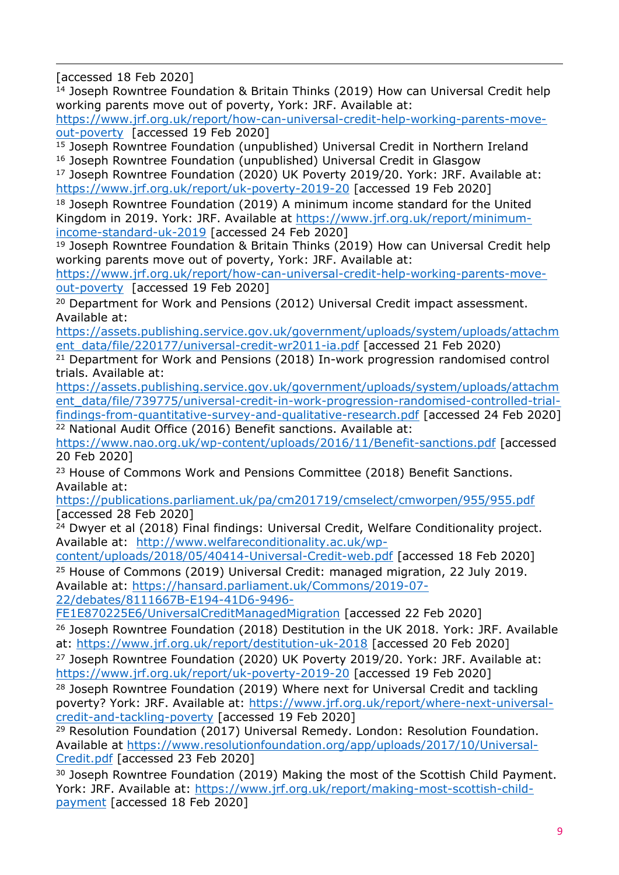[accessed 18 Feb 2020]

<sup>14</sup> Joseph Rowntree Foundation & Britain Thinks (2019) How can Universal Credit help working parents move out of poverty, York: JRF. Available at:

[https://www.jrf.org.uk/report/how-can-universal-credit-help-working-parents-move](https://www.jrf.org.uk/report/how-can-universal-credit-help-working-parents-move-out-poverty)[out-poverty](https://www.jrf.org.uk/report/how-can-universal-credit-help-working-parents-move-out-poverty) [accessed 19 Feb 2020]

<sup>15</sup> Joseph Rowntree Foundation (unpublished) Universal Credit in Northern Ireland <sup>16</sup> Joseph Rowntree Foundation (unpublished) Universal Credit in Glasgow

<sup>17</sup> Joseph Rowntree Foundation (2020) UK Poverty 2019/20. York: JRF. Available at: <https://www.jrf.org.uk/report/uk-poverty-2019-20> [accessed 19 Feb 2020]

<sup>18</sup> Joseph Rowntree Foundation (2019) A minimum income standard for the United Kingdom in 2019. York: JRF. Available at [https://www.jrf.org.uk/report/minimum](https://www.jrf.org.uk/report/minimum-income-standard-uk-2019)[income-standard-uk-2019](https://www.jrf.org.uk/report/minimum-income-standard-uk-2019) [accessed 24 Feb 2020]

<sup>19</sup> Joseph Rowntree Foundation & Britain Thinks (2019) How can Universal Credit help working parents move out of poverty, York: JRF. Available at:

[https://www.jrf.org.uk/report/how-can-universal-credit-help-working-parents-move](https://www.jrf.org.uk/report/how-can-universal-credit-help-working-parents-move-out-poverty)[out-poverty](https://www.jrf.org.uk/report/how-can-universal-credit-help-working-parents-move-out-poverty) [accessed 19 Feb 2020]

<sup>20</sup> Department for Work and Pensions (2012) Universal Credit impact assessment. Available at:

[https://assets.publishing.service.gov.uk/government/uploads/system/uploads/attachm](https://assets.publishing.service.gov.uk/government/uploads/system/uploads/attachment_data/file/220177/universal-credit-wr2011-ia.pdf) [ent\\_data/file/220177/universal-credit-wr2011-ia.pdf](https://assets.publishing.service.gov.uk/government/uploads/system/uploads/attachment_data/file/220177/universal-credit-wr2011-ia.pdf) [accessed 21 Feb 2020)

<sup>21</sup> Department for Work and Pensions (2018) In-work progression randomised control trials. Available at:

[https://assets.publishing.service.gov.uk/government/uploads/system/uploads/attachm](https://assets.publishing.service.gov.uk/government/uploads/system/uploads/attachment_data/file/739775/universal-credit-in-work-progression-randomised-controlled-trial-findings-from-quantitative-survey-and-qualitative-research.pdf) [ent\\_data/file/739775/universal-credit-in-work-progression-randomised-controlled-trial](https://assets.publishing.service.gov.uk/government/uploads/system/uploads/attachment_data/file/739775/universal-credit-in-work-progression-randomised-controlled-trial-findings-from-quantitative-survey-and-qualitative-research.pdf)[findings-from-quantitative-survey-and-qualitative-research.pdf](https://assets.publishing.service.gov.uk/government/uploads/system/uploads/attachment_data/file/739775/universal-credit-in-work-progression-randomised-controlled-trial-findings-from-quantitative-survey-and-qualitative-research.pdf) [accessed 24 Feb 2020] <sup>22</sup> National Audit Office (2016) Benefit sanctions. Available at:

<https://www.nao.org.uk/wp-content/uploads/2016/11/Benefit-sanctions.pdf> [accessed 20 Feb 2020]

<sup>23</sup> House of Commons Work and Pensions Committee (2018) Benefit Sanctions. Available at:

<https://publications.parliament.uk/pa/cm201719/cmselect/cmworpen/955/955.pdf> [accessed 28 Feb 2020]

<sup>24</sup> Dwyer et al (2018) Final findings: Universal Credit, Welfare Conditionality project. Available at: [http://www.welfareconditionality.ac.uk/wp-](http://www.welfareconditionality.ac.uk/wp-content/uploads/2018/05/40414-Universal-Credit-web.pdf)

[content/uploads/2018/05/40414-Universal-Credit-web.pdf](http://www.welfareconditionality.ac.uk/wp-content/uploads/2018/05/40414-Universal-Credit-web.pdf) [accessed 18 Feb 2020]

<sup>25</sup> House of Commons (2019) Universal Credit: managed migration, 22 July 2019. Available at: [https://hansard.parliament.uk/Commons/2019-07-](https://hansard.parliament.uk/Commons/2019-07-22/debates/8111667B-E194-41D6-9496-FE1E870225E6/UniversalCreditManagedMigration)

[22/debates/8111667B-E194-41D6-9496-](https://hansard.parliament.uk/Commons/2019-07-22/debates/8111667B-E194-41D6-9496-FE1E870225E6/UniversalCreditManagedMigration)

[FE1E870225E6/UniversalCreditManagedMigration](https://hansard.parliament.uk/Commons/2019-07-22/debates/8111667B-E194-41D6-9496-FE1E870225E6/UniversalCreditManagedMigration) [accessed 22 Feb 2020]

<sup>26</sup> Joseph Rowntree Foundation (2018) Destitution in the UK 2018. York: JRF. Available at: <https://www.jrf.org.uk/report/destitution-uk-2018> [accessed 20 Feb 2020]

<sup>27</sup> Joseph Rowntree Foundation (2020) UK Poverty 2019/20. York: JRF. Available at: <https://www.jrf.org.uk/report/uk-poverty-2019-20> [accessed 19 Feb 2020]

<sup>28</sup> Joseph Rowntree Foundation (2019) Where next for Universal Credit and tackling poverty? York: JRF. Available at: [https://www.jrf.org.uk/report/where-next-universal](https://www.jrf.org.uk/report/where-next-universal-credit-and-tackling-poverty)[credit-and-tackling-poverty](https://www.jrf.org.uk/report/where-next-universal-credit-and-tackling-poverty) [accessed 19 Feb 2020]

<sup>29</sup> Resolution Foundation (2017) Universal Remedy. London: Resolution Foundation. Available at [https://www.resolutionfoundation.org/app/uploads/2017/10/Universal-](https://www.resolutionfoundation.org/app/uploads/2017/10/Universal-Credit.pdf)[Credit.pdf](https://www.resolutionfoundation.org/app/uploads/2017/10/Universal-Credit.pdf) [accessed 23 Feb 2020]

<sup>30</sup> Joseph Rowntree Foundation (2019) Making the most of the Scottish Child Payment. York: JRF. Available at: [https://www.jrf.org.uk/report/making-most-scottish-child](https://www.jrf.org.uk/report/making-most-scottish-child-payment)[payment](https://www.jrf.org.uk/report/making-most-scottish-child-payment) [accessed 18 Feb 2020]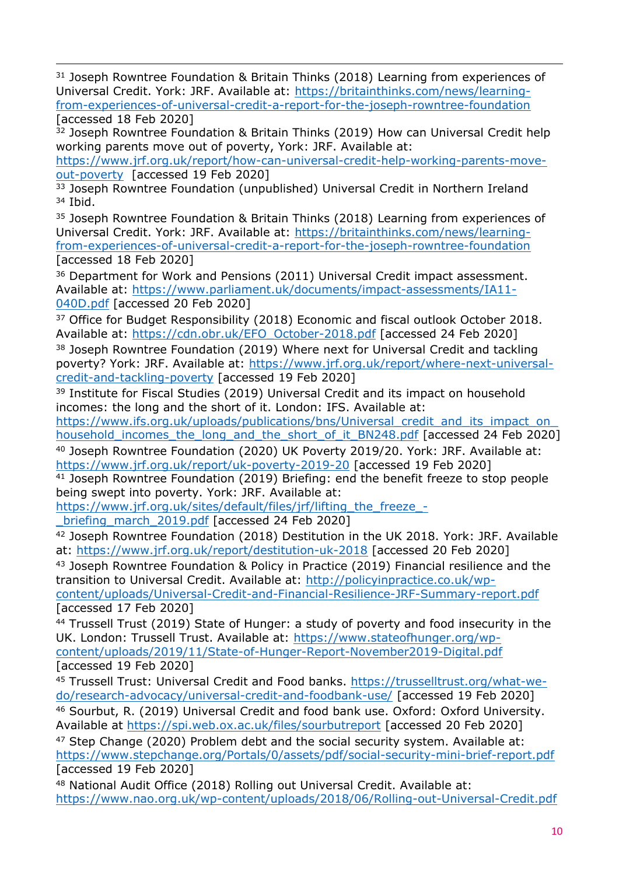<sup>31</sup> Joseph Rowntree Foundation & Britain Thinks (2018) Learning from experiences of Universal Credit. York: JRF. Available at: [https://britainthinks.com/news/learning](https://britainthinks.com/news/learning-from-experiences-of-universal-credit-a-report-for-the-joseph-rowntree-foundation)[from-experiences-of-universal-credit-a-report-for-the-joseph-rowntree-foundation](https://britainthinks.com/news/learning-from-experiences-of-universal-credit-a-report-for-the-joseph-rowntree-foundation) [accessed 18 Feb 2020]

<sup>32</sup> Joseph Rowntree Foundation & Britain Thinks (2019) How can Universal Credit help working parents move out of poverty, York: JRF. Available at:

[https://www.jrf.org.uk/report/how-can-universal-credit-help-working-parents-move](https://www.jrf.org.uk/report/how-can-universal-credit-help-working-parents-move-out-poverty)[out-poverty](https://www.jrf.org.uk/report/how-can-universal-credit-help-working-parents-move-out-poverty) [accessed 19 Feb 2020]

<sup>33</sup> Joseph Rowntree Foundation (unpublished) Universal Credit in Northern Ireland <sup>34</sup> Ibid.

<sup>35</sup> Joseph Rowntree Foundation & Britain Thinks (2018) Learning from experiences of Universal Credit. York: JRF. Available at: [https://britainthinks.com/news/learning](https://britainthinks.com/news/learning-from-experiences-of-universal-credit-a-report-for-the-joseph-rowntree-foundation)[from-experiences-of-universal-credit-a-report-for-the-joseph-rowntree-foundation](https://britainthinks.com/news/learning-from-experiences-of-universal-credit-a-report-for-the-joseph-rowntree-foundation) [accessed 18 Feb 2020]

<sup>36</sup> Department for Work and Pensions (2011) Universal Credit impact assessment. Available at: [https://www.parliament.uk/documents/impact-assessments/IA11-](https://www.parliament.uk/documents/impact-assessments/IA11-040D.pdf) [040D.pdf](https://www.parliament.uk/documents/impact-assessments/IA11-040D.pdf) [accessed 20 Feb 2020]

<sup>37</sup> Office for Budget Responsibility (2018) Economic and fiscal outlook October 2018. Available at: [https://cdn.obr.uk/EFO\\_October-2018.pdf](https://cdn.obr.uk/EFO_October-2018.pdf) [accessed 24 Feb 2020]

<sup>38</sup> Joseph Rowntree Foundation (2019) Where next for Universal Credit and tackling poverty? York: JRF. Available at: [https://www.jrf.org.uk/report/where-next-universal](https://www.jrf.org.uk/report/where-next-universal-credit-and-tackling-poverty)[credit-and-tackling-poverty](https://www.jrf.org.uk/report/where-next-universal-credit-and-tackling-poverty) [accessed 19 Feb 2020]

<sup>39</sup> Institute for Fiscal Studies (2019) Universal Credit and its impact on household incomes: the long and the short of it. London: IFS. Available at:

https://www.ifs.org.uk/uploads/publications/bns/Universal\_credit\_and\_its\_impact\_on [household\\_incomes\\_the\\_long\\_and\\_the\\_short\\_of\\_it\\_BN248.pdf](https://www.ifs.org.uk/uploads/publications/bns/Universal_credit_and_its_impact_on_household_incomes_the_long_and_the_short_of_it_BN248.pdf) [accessed 24 Feb 2020]

<sup>40</sup> Joseph Rowntree Foundation (2020) UK Poverty 2019/20. York: JRF. Available at: <https://www.jrf.org.uk/report/uk-poverty-2019-20> [accessed 19 Feb 2020]

<sup>41</sup> Joseph Rowntree Foundation (2019) Briefing: end the benefit freeze to stop people being swept into poverty. York: JRF. Available at:

[https://www.jrf.org.uk/sites/default/files/jrf/lifting\\_the\\_freeze\\_-](https://www.jrf.org.uk/sites/default/files/jrf/lifting_the_freeze_-_briefing_march_2019.pdf)

briefing march 2019.pdf [accessed 24 Feb 2020]

<sup>42</sup> Joseph Rowntree Foundation (2018) Destitution in the UK 2018. York: JRF. Available at: <https://www.jrf.org.uk/report/destitution-uk-2018> [accessed 20 Feb 2020]

<sup>43</sup> Joseph Rowntree Foundation & Policy in Practice (2019) Financial resilience and the transition to Universal Credit. Available at: [http://policyinpractice.co.uk/wp](http://policyinpractice.co.uk/wp-content/uploads/Universal-Credit-and-Financial-Resilience-JRF-Summary-report.pdf)[content/uploads/Universal-Credit-and-Financial-Resilience-JRF-Summary-report.pdf](http://policyinpractice.co.uk/wp-content/uploads/Universal-Credit-and-Financial-Resilience-JRF-Summary-report.pdf)

[accessed 17 Feb 2020]

<sup>44</sup> Trussell Trust (2019) State of Hunger: a study of poverty and food insecurity in the UK. London: Trussell Trust. Available at: [https://www.stateofhunger.org/wp](https://www.stateofhunger.org/wp-content/uploads/2019/11/State-of-Hunger-Report-November2019-Digital.pdf)[content/uploads/2019/11/State-of-Hunger-Report-November2019-Digital.pdf](https://www.stateofhunger.org/wp-content/uploads/2019/11/State-of-Hunger-Report-November2019-Digital.pdf) [accessed 19 Feb 2020]

<sup>45</sup> Trussell Trust: Universal Credit and Food banks. [https://trusselltrust.org/what-we](https://trusselltrust.org/what-we-do/research-advocacy/universal-credit-and-foodbank-use/)[do/research-advocacy/universal-credit-and-foodbank-use/](https://trusselltrust.org/what-we-do/research-advocacy/universal-credit-and-foodbank-use/) [accessed 19 Feb 2020]

<sup>46</sup> Sourbut, R. (2019) Universal Credit and food bank use. Oxford: Oxford University. Available at <https://spi.web.ox.ac.uk/files/sourbutreport> [accessed 20 Feb 2020]

<sup>47</sup> Step Change (2020) Problem debt and the social security system. Available at: <https://www.stepchange.org/Portals/0/assets/pdf/social-security-mini-brief-report.pdf> [accessed 19 Feb 2020]

<sup>48</sup> National Audit Office (2018) Rolling out Universal Credit. Available at: <https://www.nao.org.uk/wp-content/uploads/2018/06/Rolling-out-Universal-Credit.pdf>